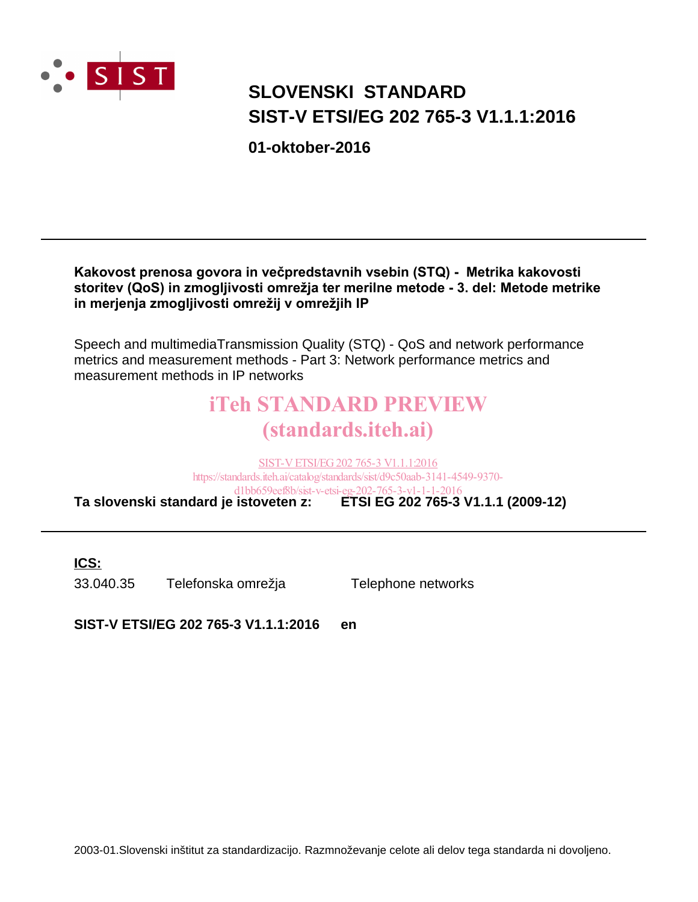

# **SIST-V ETSI/EG 202 765-3 V1.1.1:2016 SLOVENSKI STANDARD**

**01-oktober-2016**

#### Kakovost prenosa govora in večpredstavnih vsebin (STQ) - Metrika kakovosti storitev (QoS) in zmogljivosti omrežja ter merilne metode - 3. del: Metode metrike in merjenja zmogljivosti omrežij v omrežjih IP

Speech and multimediaTransmission Quality (STQ) - QoS and network performance metrics and measurement methods - Part 3: Network performance metrics and measurement methods in IP networks

# iTeh STANDARD PREVIEW (standards.iteh.ai)

**Ta slovenski standard je istoveten z: ETSI EG 202 765-3 V1.1.1 (2009-12)** SIST-V ETSI/EG 202 765-3 V1.1.1:2016 https://standards.iteh.ai/catalog/standards/sist/d9c50aab-3141-4549-9370 d1bb659eef8b/sist-v-etsi-eg-202-765-3-v1-1-1-2016

**ICS:**

33.040.35 Telefonska omrežja Telephone networks

**SIST-V ETSI/EG 202 765-3 V1.1.1:2016 en**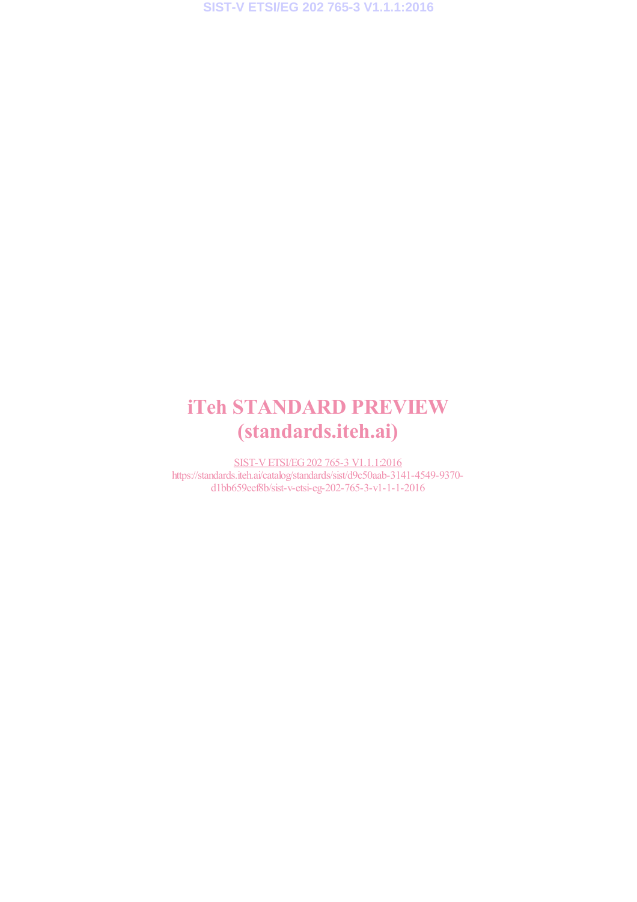**SIST-V ETSI/EG 202 765-3 V1.1.1:2016**

# iTeh STANDARD PREVIEW (standards.iteh.ai)

SIST-V ETSI/EG 202 765-3 V1.1.1:2016 https://standards.iteh.ai/catalog/standards/sist/d9c50aab-3141-4549-9370 d1bb659eef8b/sist-v-etsi-eg-202-765-3-v1-1-1-2016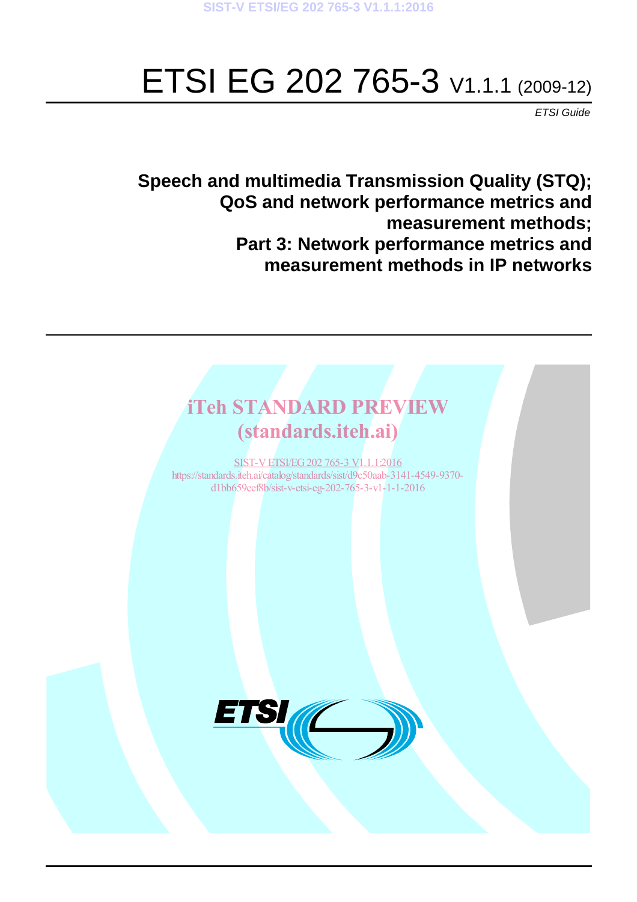# ETSI EG 202 765-3 V1.1.1 (2009-12)

*ETSI Guide*

**Speech and multimedia Transmission Quality (STQ); QoS and network performance metrics and measurement methods; Part 3: Network performance metrics and measurement methods in IP networks**

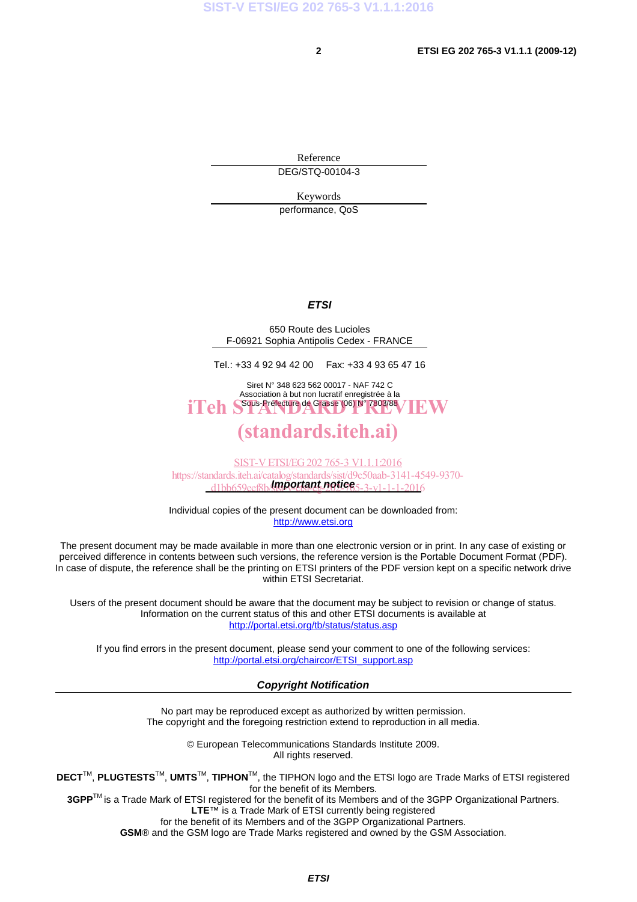Reference DEG/STQ-00104-3

Keywords

performance, QoS

#### *ETSI*

650 Route des Lucioles F-06921 Sophia Antipolis Cedex - FRANCE

Tel.: +33 4 92 94 42 00 Fax: +33 4 93 65 47 16

Siret N° 348 623 562 00017 - NAF 742 C Association à but non lucratif enregistrée à la iTeh S<sup>Sous-Préfecture</sup> de Grasse (06) N° 7803/88 / IEW

## (standards.iteh.ai)

*Important notice*  d1bb659eef8b/sist-v-etsi-eg-202-765-3-v1-1-1-2016SIST-V ETSI/EG 202 765-3 V1.1.1:2016 https://standards.iteh.ai/catalog/standards/sist/d9c50aab-3141-4549-9370-

Individual copies of the present document can be downloaded from: http://www.etsi.org

The present document may be made available in more than one electronic version or in print. In any case of existing or perceived difference in contents between such versions, the reference version is the Portable Document Format (PDF). In case of dispute, the reference shall be the printing on ETSI printers of the PDF version kept on a specific network drive within ETSI Secretariat.

Users of the present document should be aware that the document may be subject to revision or change of status. Information on the current status of this and other ETSI documents is available at http://portal.etsi.org/tb/status/status.asp

If you find errors in the present document, please send your comment to one of the following services: http://portal.etsi.org/chaircor/ETSI\_support.asp

#### *Copyright Notification*

No part may be reproduced except as authorized by written permission. The copyright and the foregoing restriction extend to reproduction in all media.

> © European Telecommunications Standards Institute 2009. All rights reserved.

**DECT**TM, **PLUGTESTS**TM, **UMTS**TM, **TIPHON**TM, the TIPHON logo and the ETSI logo are Trade Marks of ETSI registered for the benefit of its Members.

**3GPP**TM is a Trade Mark of ETSI registered for the benefit of its Members and of the 3GPP Organizational Partners. **LTE**™ is a Trade Mark of ETSI currently being registered

for the benefit of its Members and of the 3GPP Organizational Partners.

**GSM**® and the GSM logo are Trade Marks registered and owned by the GSM Association.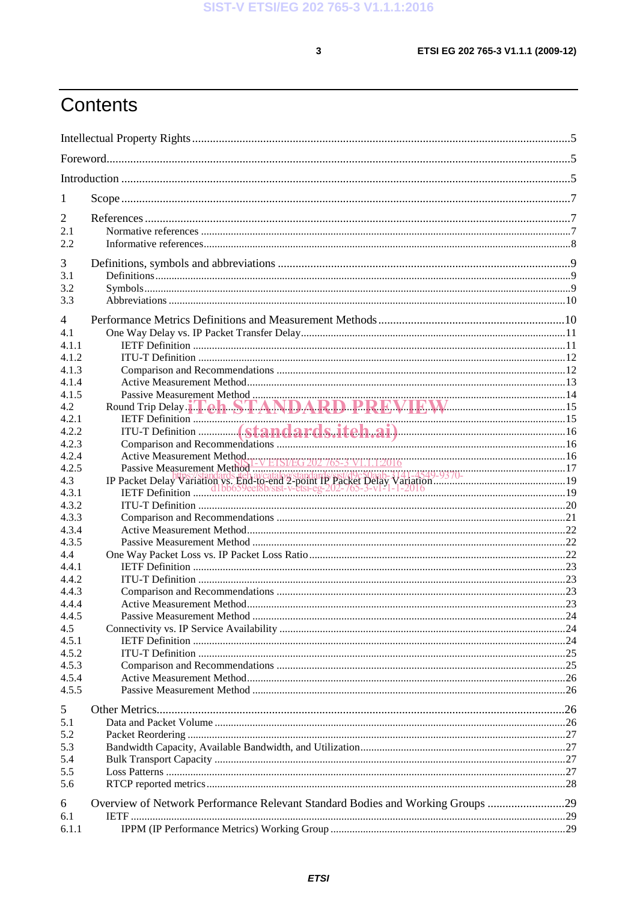$\mathbf{3}$ 

# Contents

| 1              |                                                                                |  |  |
|----------------|--------------------------------------------------------------------------------|--|--|
| 2              |                                                                                |  |  |
| 2.1            |                                                                                |  |  |
| 2.2            |                                                                                |  |  |
| 3              |                                                                                |  |  |
| 3.1            |                                                                                |  |  |
| 3.2            |                                                                                |  |  |
| 3.3            |                                                                                |  |  |
| 4              |                                                                                |  |  |
| 4.1            |                                                                                |  |  |
| 4.1.1          |                                                                                |  |  |
| 4.1.2          |                                                                                |  |  |
| 4.1.3          |                                                                                |  |  |
| 4.1.4          |                                                                                |  |  |
| 4.1.5          |                                                                                |  |  |
| 4.2            |                                                                                |  |  |
| 4.2.1          |                                                                                |  |  |
| 4.2.2          |                                                                                |  |  |
| 4.2.3          |                                                                                |  |  |
| 4.2.4          |                                                                                |  |  |
| 4.2.5          |                                                                                |  |  |
| 4.3            |                                                                                |  |  |
| 4.3.1          |                                                                                |  |  |
| 4.3.2          |                                                                                |  |  |
| 4.3.3<br>4.3.4 |                                                                                |  |  |
| 4.3.5          |                                                                                |  |  |
| 4.4            |                                                                                |  |  |
| 4.4.1          |                                                                                |  |  |
| 4.4.2          |                                                                                |  |  |
| 4.4.3          |                                                                                |  |  |
| 4.4.4          |                                                                                |  |  |
| 4.4.5          |                                                                                |  |  |
| 4.5            |                                                                                |  |  |
| 4.5.1          |                                                                                |  |  |
| 4.5.2          |                                                                                |  |  |
| 4.5.3          |                                                                                |  |  |
| 4.5.4          |                                                                                |  |  |
| 4.5.5          |                                                                                |  |  |
| 5              |                                                                                |  |  |
| 5.1            |                                                                                |  |  |
| 5.2            |                                                                                |  |  |
| 5.3            |                                                                                |  |  |
| 5.4            |                                                                                |  |  |
| 5.5            |                                                                                |  |  |
| 5.6            |                                                                                |  |  |
| 6              | Overview of Network Performance Relevant Standard Bodies and Working Groups 29 |  |  |
| 6.1            |                                                                                |  |  |
| 6.1.1          |                                                                                |  |  |
|                |                                                                                |  |  |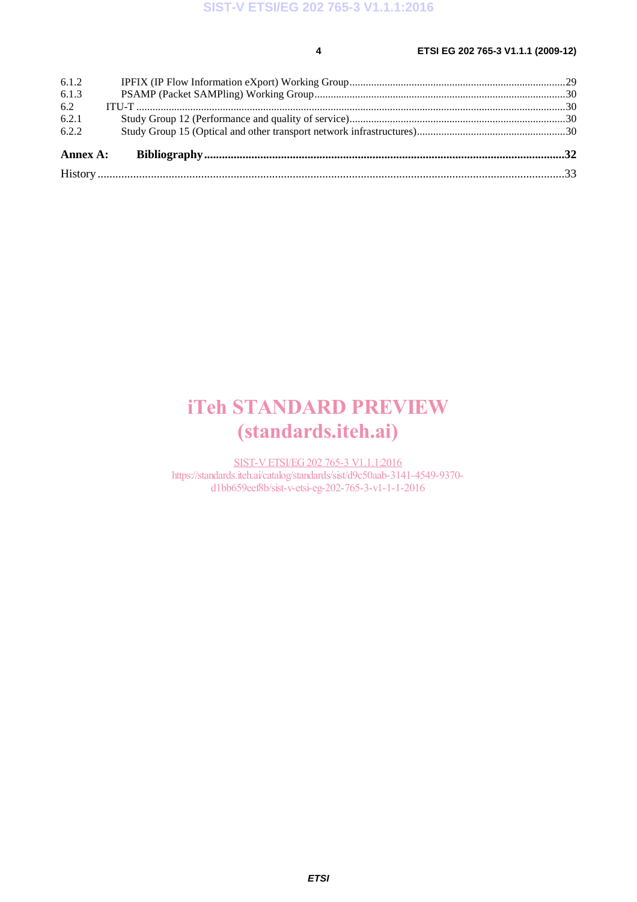#### **4 ETSI EG 202 765-3 V1.1.1 (2009-12)**

| Annex A: |  |
|----------|--|
| 6.2.2    |  |
| 6.2.1    |  |
| 6.2      |  |
| 6.1.3    |  |
| 6.1.2    |  |

# iTeh STANDARD PREVIEW (standards.iteh.ai)

SIST-V ETSI/EG 202 765-3 V1.1.1:2016 https://standards.iteh.ai/catalog/standards/sist/d9c50aab-3141-4549-9370d1bb659eef8b/sist-v-etsi-eg-202-765-3-v1-1-1-2016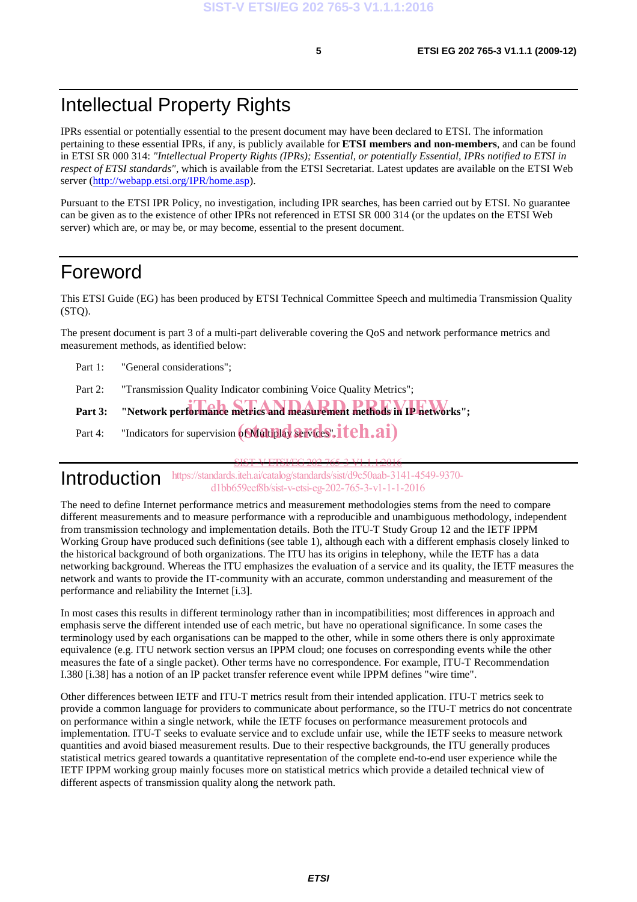## Intellectual Property Rights

IPRs essential or potentially essential to the present document may have been declared to ETSI. The information pertaining to these essential IPRs, if any, is publicly available for **ETSI members and non-members**, and can be found in ETSI SR 000 314: *"Intellectual Property Rights (IPRs); Essential, or potentially Essential, IPRs notified to ETSI in respect of ETSI standards"*, which is available from the ETSI Secretariat. Latest updates are available on the ETSI Web server (http://webapp.etsi.org/IPR/home.asp).

Pursuant to the ETSI IPR Policy, no investigation, including IPR searches, has been carried out by ETSI. No guarantee can be given as to the existence of other IPRs not referenced in ETSI SR 000 314 (or the updates on the ETSI Web server) which are, or may be, or may become, essential to the present document.

## Foreword

This ETSI Guide (EG) has been produced by ETSI Technical Committee Speech and multimedia Transmission Quality  $(STO)$ .

The present document is part 3 of a multi-part deliverable covering the QoS and network performance metrics and measurement methods, as identified below:

Part 1: "General considerations":

Part 2: "Transmission Quality Indicator combining Voice Quality Metrics";

Part 3: "Network performance metrics and measurement methods in IP networks";

Part 4: "Indicators for supervision  $(\hat{\text{Multiplay}}\text{ as Vides}.iteh.ai)$ 

Introduction SIST-VETSI/EG 202 765-3 V1.1.1:2016 https://standards.iteh.ai/catalog/standards/sist/d9c50aab-3141-4549-9370 d1bb659eef8b/sist-v-etsi-eg-202-765-3-v1-1-1-2016

The need to define Internet performance metrics and measurement methodologies stems from the need to compare different measurements and to measure performance with a reproducible and unambiguous methodology, independent from transmission technology and implementation details. Both the ITU-T Study Group 12 and the IETF IPPM Working Group have produced such definitions (see table 1), although each with a different emphasis closely linked to the historical background of both organizations. The ITU has its origins in telephony, while the IETF has a data networking background. Whereas the ITU emphasizes the evaluation of a service and its quality, the IETF measures the network and wants to provide the IT-community with an accurate, common understanding and measurement of the performance and reliability the Internet [i.3].

In most cases this results in different terminology rather than in incompatibilities; most differences in approach and emphasis serve the different intended use of each metric, but have no operational significance. In some cases the terminology used by each organisations can be mapped to the other, while in some others there is only approximate equivalence (e.g. ITU network section versus an IPPM cloud; one focuses on corresponding events while the other measures the fate of a single packet). Other terms have no correspondence. For example, ITU-T Recommendation I.380 [i.38] has a notion of an IP packet transfer reference event while IPPM defines "wire time".

Other differences between IETF and ITU-T metrics result from their intended application. ITU-T metrics seek to provide a common language for providers to communicate about performance, so the ITU-T metrics do not concentrate on performance within a single network, while the IETF focuses on performance measurement protocols and implementation. ITU-T seeks to evaluate service and to exclude unfair use, while the IETF seeks to measure network quantities and avoid biased measurement results. Due to their respective backgrounds, the ITU generally produces statistical metrics geared towards a quantitative representation of the complete end-to-end user experience while the IETF IPPM working group mainly focuses more on statistical metrics which provide a detailed technical view of different aspects of transmission quality along the network path.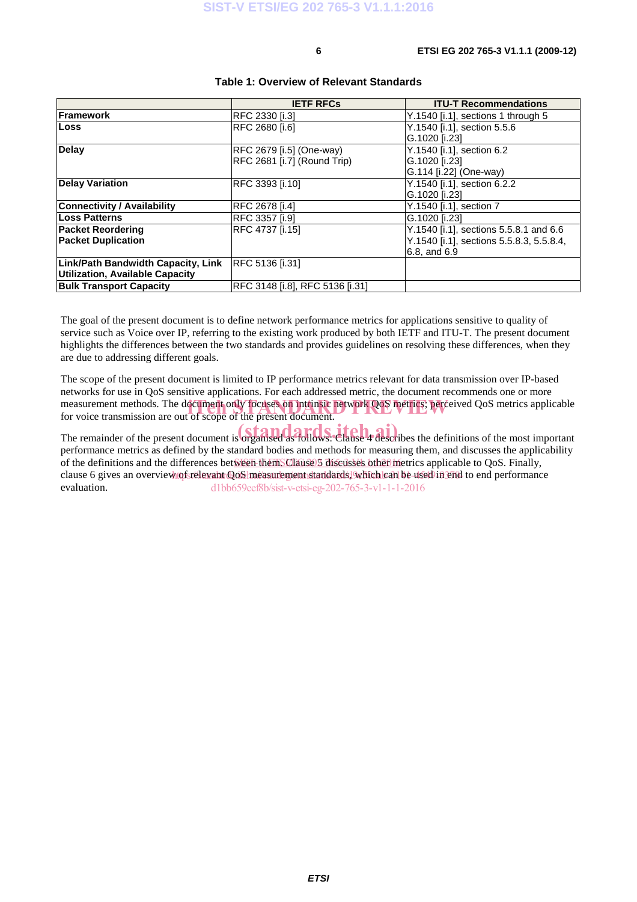|                                    | <b>IETF RFCs</b>                | <b>ITU-T Recommendations</b>             |
|------------------------------------|---------------------------------|------------------------------------------|
| Framework                          | <b>RFC 2330 [i.3]</b>           | Y.1540 [i.1], sections 1 through 5       |
| <b>Loss</b>                        | RFC 2680 [i.6]                  | Y.1540 [i.1], section 5.5.6              |
|                                    |                                 | G.1020 [i.23]                            |
| <b>Delay</b>                       | RFC 2679 [i.5] (One-way)        | Y.1540 [i.1], section 6.2                |
|                                    | RFC 2681 [i.7] (Round Trip)     | G.1020 [i.23]                            |
|                                    |                                 | G.114 [i.22] (One-way)                   |
| <b>Delay Variation</b>             | RFC 3393 [i.10]                 | Y.1540 [i.1], section 6.2.2              |
|                                    |                                 | G.1020 [i.23]                            |
| <b>Connectivity / Availability</b> | RFC 2678 [i.4]                  | Y.1540 [i.1], section 7                  |
| Loss Patterns                      | <b>RFC 3357 [i.9]</b>           | G.1020 [i.23]                            |
| <b>Packet Reordering</b>           | RFC 4737 [i.15]                 | Y.1540 [i.1], sections 5.5.8.1 and 6.6   |
| <b>Packet Duplication</b>          |                                 | Y.1540 [i.1], sections 5.5.8.3, 5.5.8.4, |
|                                    |                                 | 6.8, and 6.9                             |
| Link/Path Bandwidth Capacity, Link | RFC 5136 [i.31]                 |                                          |
| Utilization, Available Capacity    |                                 |                                          |
| <b>Bulk Transport Capacity</b>     | RFC 3148 [i.8], RFC 5136 [i.31] |                                          |

#### **Table 1: Overview of Relevant Standards**

The goal of the present document is to define network performance metrics for applications sensitive to quality of service such as Voice over IP, referring to the existing work produced by both IETF and ITU-T. The present document highlights the differences between the two standards and provides guidelines on resolving these differences, when they are due to addressing different goals.

The scope of the present document is limited to IP performance metrics relevant for data transmission over IP-based networks for use in QoS sensitive applications. For each addressed metric, the document recommends one or more measurement methods. The document only focuses on intrinsic network QoS metrics; perceived QoS metrics applicable<br>for voice transmission are out of scope of the present document. for voice transmission are out of scope of the present document.

The remainder of the present document is organised as follows. Clause 4 describes the definitions of the most important performance metrics as defined by the standard bodies and methods for measuring them, and discusses the applicability of the definitions and the differences between themSClause 3 discusses other metrics applicable to QoS. Finally, clause 6 gives an overview to fsrelevant QoS measurement standards. Which can be used in end to end performance evaluation. d1bb659eef8b/sist-v-etsi-eg-202-765-3-v1-1-1-2016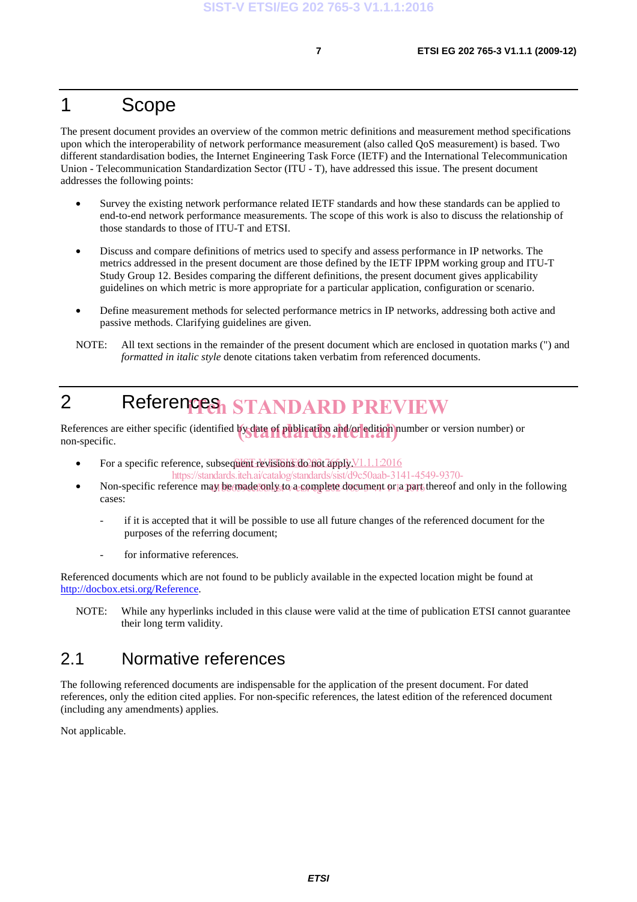## 1 Scope

The present document provides an overview of the common metric definitions and measurement method specifications upon which the interoperability of network performance measurement (also called QoS measurement) is based. Two different standardisation bodies, the Internet Engineering Task Force (IETF) and the International Telecommunication Union - Telecommunication Standardization Sector (ITU - T), have addressed this issue. The present document addresses the following points:

- Survey the existing network performance related IETF standards and how these standards can be applied to end-to-end network performance measurements. The scope of this work is also to discuss the relationship of those standards to those of ITU-T and ETSI.
- Discuss and compare definitions of metrics used to specify and assess performance in IP networks. The metrics addressed in the present document are those defined by the IETF IPPM working group and ITU-T Study Group 12. Besides comparing the different definitions, the present document gives applicability guidelines on which metric is more appropriate for a particular application, configuration or scenario.
- Define measurement methods for selected performance metrics in IP networks, addressing both active and passive methods. Clarifying guidelines are given.
- NOTE: All text sections in the remainder of the present document which are enclosed in quotation marks (") and *formatted in italic style* denote citations taken verbatim from referenced documents.

# 2 References STANDARD PREVIEW

References are either specific (identified by date of publication and/or edition number or version number) or<br>non-specific non-specific.

• For a specific reference, subsequent revisions do not apply  $V1.1.1:2016$ 

https://standards.iteh.ai/catalog/standards/sist/d9c50aab-3141-4549-9370-

- Non-specific reference may be made conly to a complete document or a part thereof and only in the following cases:
	- if it is accepted that it will be possible to use all future changes of the referenced document for the purposes of the referring document;
	- for informative references.

Referenced documents which are not found to be publicly available in the expected location might be found at http://docbox.etsi.org/Reference.

NOTE: While any hyperlinks included in this clause were valid at the time of publication ETSI cannot guarantee their long term validity.

#### 2.1 Normative references

The following referenced documents are indispensable for the application of the present document. For dated references, only the edition cited applies. For non-specific references, the latest edition of the referenced document (including any amendments) applies.

Not applicable.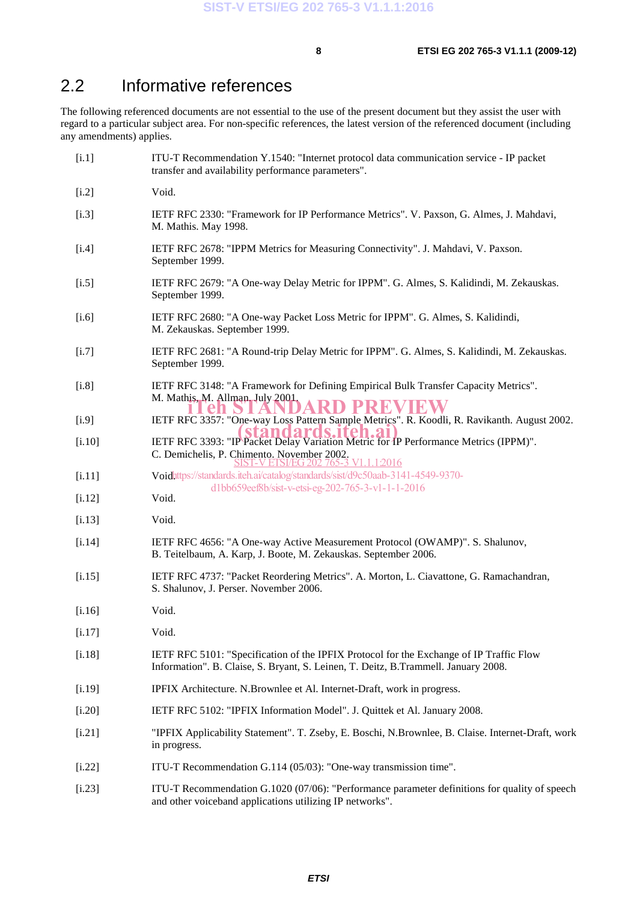## 2.2 Informative references

The following referenced documents are not essential to the use of the present document but they assist the user with regard to a particular subject area. For non-specific references, the latest version of the referenced document (including any amendments) applies.

| [i.1]    | ITU-T Recommendation Y.1540: "Internet protocol data communication service - IP packet<br>transfer and availability performance parameters".                                   |
|----------|--------------------------------------------------------------------------------------------------------------------------------------------------------------------------------|
| $[i.2]$  | Void.                                                                                                                                                                          |
| $[$ .3]  | IETF RFC 2330: "Framework for IP Performance Metrics". V. Paxson, G. Almes, J. Mahdavi,<br>M. Mathis. May 1998.                                                                |
| [i.4]    | IETF RFC 2678: "IPPM Metrics for Measuring Connectivity". J. Mahdavi, V. Paxson.<br>September 1999.                                                                            |
| $[1.5]$  | IETF RFC 2679: "A One-way Delay Metric for IPPM". G. Almes, S. Kalidindi, M. Zekauskas.<br>September 1999.                                                                     |
| $[1.6]$  | IETF RFC 2680: "A One-way Packet Loss Metric for IPPM". G. Almes, S. Kalidindi,<br>M. Zekauskas. September 1999.                                                               |
| [i.7]    | IETF RFC 2681: "A Round-trip Delay Metric for IPPM". G. Almes, S. Kalidindi, M. Zekauskas.<br>September 1999.                                                                  |
| [i.8]    | IETF RFC 3148: "A Framework for Defining Empirical Bulk Transfer Capacity Metrics".<br>M. Mathis, M. Allman, July 2001.<br>PRE                                                 |
| [i.9]    | IETF RFC 3357: "One-way Loss Pattern Sample Metrics". R. Koodli, R. Ravikanth. August 2002.                                                                                    |
| [i.10]   | IETF RFC 3393: "IP Packet Delay Variation Metric for IP Performance Metrics (IPPM)".<br>C. Demichelis, P. Chimento. November 2002.<br>SIST-V ETSI/EG 202 765-3 V1.1.12016      |
| $[1.11]$ | Voidhttps://standards.iteh.ai/catalog/standards/sist/d9c50aab-3141-4549-9370-                                                                                                  |
| [1.12]   | d1bb659eef8b/sist-v-etsi-eg-202-765-3-v1-1-1-2016<br>Void.                                                                                                                     |
| [i.13]   | Void.                                                                                                                                                                          |
| [i.14]   | IETF RFC 4656: "A One-way Active Measurement Protocol (OWAMP)". S. Shalunov,<br>B. Teitelbaum, A. Karp, J. Boote, M. Zekauskas. September 2006.                                |
| [i.15]   | IETF RFC 4737: "Packet Reordering Metrics". A. Morton, L. Ciavattone, G. Ramachandran,<br>S. Shalunov, J. Perser. November 2006.                                               |
| [i.16]   | Void.                                                                                                                                                                          |
| [1.17]   | Void.                                                                                                                                                                          |
| $[1.18]$ | IETF RFC 5101: "Specification of the IPFIX Protocol for the Exchange of IP Traffic Flow<br>Information". B. Claise, S. Bryant, S. Leinen, T. Deitz, B. Trammell. January 2008. |
| [i.19]   | IPFIX Architecture. N.Brownlee et Al. Internet-Draft, work in progress.                                                                                                        |
| $[1.20]$ | IETF RFC 5102: "IPFIX Information Model". J. Quittek et Al. January 2008.                                                                                                      |
| $[1.21]$ | "IPFIX Applicability Statement". T. Zseby, E. Boschi, N.Brownlee, B. Claise. Internet-Draft, work<br>in progress.                                                              |
| $[1.22]$ | ITU-T Recommendation G.114 (05/03): "One-way transmission time".                                                                                                               |
| [1.23]   | ITU-T Recommendation G.1020 (07/06): "Performance parameter definitions for quality of speech<br>and other voiceband applications utilizing IP networks".                      |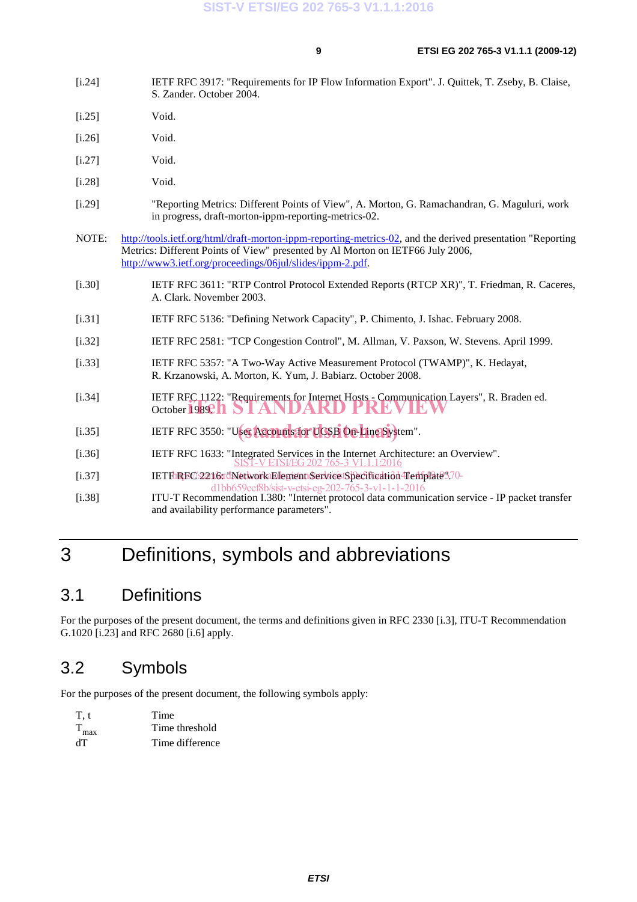- [i.24] IETF RFC 3917: "Requirements for IP Flow Information Export". J. Quittek, T. Zseby, B. Claise, S. Zander. October 2004.
- [i.25] Void.
- [i.26] Void.
- [i.27] Void.
- [i.28] Void.
- [i.29] "Reporting Metrics: Different Points of View", A. Morton, G. Ramachandran, G. Maguluri, work in progress, draft-morton-ippm-reporting-metrics-02.
- NOTE: http://tools.ietf.org/html/draft-morton-ippm-reporting-metrics-02, and the derived presentation "Reporting Metrics: Different Points of View" presented by Al Morton on IETF66 July 2006, http://www3.ietf.org/proceedings/06jul/slides/ippm-2.pdf.
- [i.30] IETF RFC 3611: "RTP Control Protocol Extended Reports (RTCP XR)", T. Friedman, R. Caceres, A. Clark. November 2003.
- [i.31] IETF RFC 5136: "Defining Network Capacity", P. Chimento, J. Ishac. February 2008.
- [i.32] IETF RFC 2581: "TCP Congestion Control", M. Allman, V. Paxson, W. Stevens. April 1999.
- [i.33] IETF RFC 5357: "A Two-Way Active Measurement Protocol (TWAMP)", K. Hedayat, R. Krzanowski, A. Morton, K. Yum, J. Babiarz. October 2008.
- [i.34] IETF RFC 1122: "Requirements for Internet Hosts Communication Layers", R. Braden ed. October 1989: 1 October 1989. **NDARD**
- [i.35] IETF RFC 3550: "User Accounts for UCSB On-Line System".
- [i.36] IETF RFC 1633: "Integrated Services in the Internet Architecture: an Overview". SIST-VETSI/EG202 765-3 V1.1.1:2016
- [i.37] IETFnRFC 2216r (Network Element Service Specification Template 370d1bb659eef8b/sist-v-etsi-eg-202-765-3-v1-1-1-2016
- [i.38] ITU-T Recommendation I.380: "Internet protocol data communication service IP packet transfer and availability performance parameters".

# 3 Definitions, symbols and abbreviations

#### 3.1 Definitions

For the purposes of the present document, the terms and definitions given in RFC 2330 [i.3], ITU-T Recommendation G.1020 [i.23] and RFC 2680 [i.6] apply.

#### 3.2 Symbols

For the purposes of the present document, the following symbols apply:

| T.t              | Time            |
|------------------|-----------------|
| $T_{\text{max}}$ | Time threshold  |
| ďТ               | Time difference |